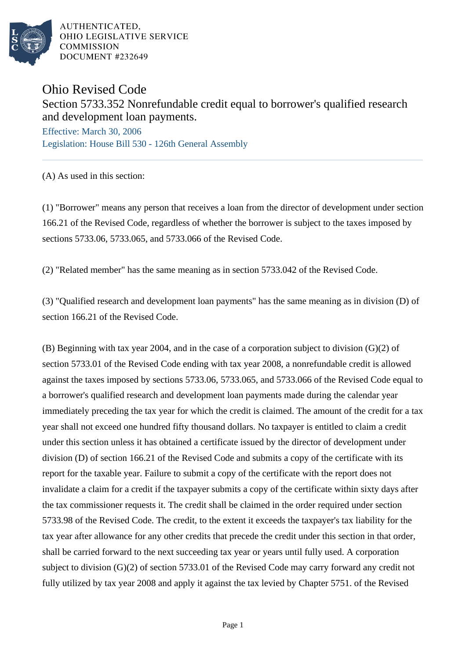

AUTHENTICATED. OHIO LEGISLATIVE SERVICE **COMMISSION** DOCUMENT #232649

## Ohio Revised Code

## Section 5733.352 Nonrefundable credit equal to borrower's qualified research and development loan payments.

Effective: March 30, 2006 Legislation: House Bill 530 - 126th General Assembly

(A) As used in this section:

(1) "Borrower" means any person that receives a loan from the director of development under section 166.21 of the Revised Code, regardless of whether the borrower is subject to the taxes imposed by sections 5733.06, 5733.065, and 5733.066 of the Revised Code.

(2) "Related member" has the same meaning as in section 5733.042 of the Revised Code.

(3) "Qualified research and development loan payments" has the same meaning as in division (D) of section 166.21 of the Revised Code.

(B) Beginning with tax year 2004, and in the case of a corporation subject to division (G)(2) of section 5733.01 of the Revised Code ending with tax year 2008, a nonrefundable credit is allowed against the taxes imposed by sections 5733.06, 5733.065, and 5733.066 of the Revised Code equal to a borrower's qualified research and development loan payments made during the calendar year immediately preceding the tax year for which the credit is claimed. The amount of the credit for a tax year shall not exceed one hundred fifty thousand dollars. No taxpayer is entitled to claim a credit under this section unless it has obtained a certificate issued by the director of development under division (D) of section 166.21 of the Revised Code and submits a copy of the certificate with its report for the taxable year. Failure to submit a copy of the certificate with the report does not invalidate a claim for a credit if the taxpayer submits a copy of the certificate within sixty days after the tax commissioner requests it. The credit shall be claimed in the order required under section 5733.98 of the Revised Code. The credit, to the extent it exceeds the taxpayer's tax liability for the tax year after allowance for any other credits that precede the credit under this section in that order, shall be carried forward to the next succeeding tax year or years until fully used. A corporation subject to division (G)(2) of section 5733.01 of the Revised Code may carry forward any credit not fully utilized by tax year 2008 and apply it against the tax levied by Chapter 5751. of the Revised